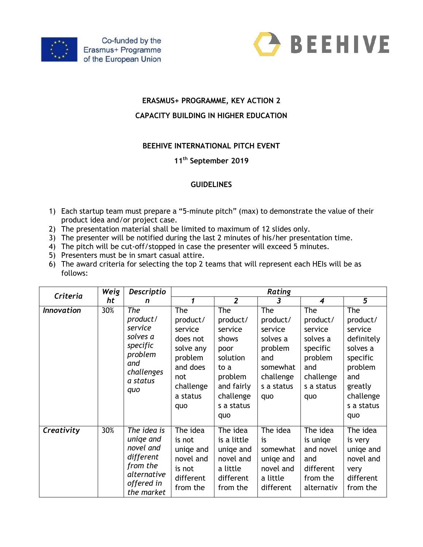



# **ERASMUS+ PROGRAMME, KEY ACTION 2**

### **CAPACITY BUILDING IN HIGHER EDUCATION**

### **BEEHIVE INTERNATIONAL PITCH EVENT**

# **11th September 2019**

#### **GUIDELINES**

- 1) Each startup team must prepare a "5-minute pitch" (max) to demonstrate the value of their product idea and/or project case.
- 2) The presentation material shall be limited to maximum of 12 slides only.
- 3) The presenter will be notified during the last 2 minutes of his/her presentation time.
- 4) The pitch will be cut-off/stopped in case the presenter will exceed 5 minutes.
- 5) Presenters must be in smart casual attire.
- 6) The award criteria for selecting the top 2 teams that will represent each HEIs will be as follows:

| Criteria          | Weig<br>ht | Descriptio                                                                                                | Rating                                                                                                            |                                                                                                                            |                                                                                                        |                                                                                                        |                                                                                                                                 |
|-------------------|------------|-----------------------------------------------------------------------------------------------------------|-------------------------------------------------------------------------------------------------------------------|----------------------------------------------------------------------------------------------------------------------------|--------------------------------------------------------------------------------------------------------|--------------------------------------------------------------------------------------------------------|---------------------------------------------------------------------------------------------------------------------------------|
|                   |            | n                                                                                                         | 1                                                                                                                 | $\overline{2}$                                                                                                             | 3                                                                                                      | 4                                                                                                      | 5                                                                                                                               |
| <b>Innovation</b> | 30%        | The<br>product/<br>service<br>solves a<br>specific<br>problem<br>and<br>challenges<br>a status<br>quo     | The<br>product/<br>service<br>does not<br>solve any<br>problem<br>and does<br>not<br>challenge<br>a status<br>quo | The<br>product/<br>service<br>shows<br>poor<br>solution<br>to a<br>problem<br>and fairly<br>challenge<br>s a status<br>quo | The<br>product/<br>service<br>solves a<br>problem<br>and<br>somewhat<br>challenge<br>s a status<br>quo | The<br>product/<br>service<br>solves a<br>specific<br>problem<br>and<br>challenge<br>s a status<br>quo | The<br>product/<br>service<br>definitely<br>solves a<br>specific<br>problem<br>and<br>greatly<br>challenge<br>s a status<br>quo |
| Creativity        | 30%        | The idea is<br>uniqe and<br>novel and<br>different<br>from the<br>alternative<br>offered in<br>the market | The idea<br>is not<br>uniqe and<br>novel and<br>is not<br>different<br>from the                                   | The idea<br>is a little<br>uniqe and<br>novel and<br>a little<br>different<br>from the                                     | The idea<br>is<br>somewhat<br>uniqe and<br>novel and<br>a little<br>different                          | The idea<br>is unige<br>and novel<br>and<br>different<br>from the<br>alternativ                        | The idea<br>is very<br>uniqe and<br>novel and<br>very<br>different<br>from the                                                  |